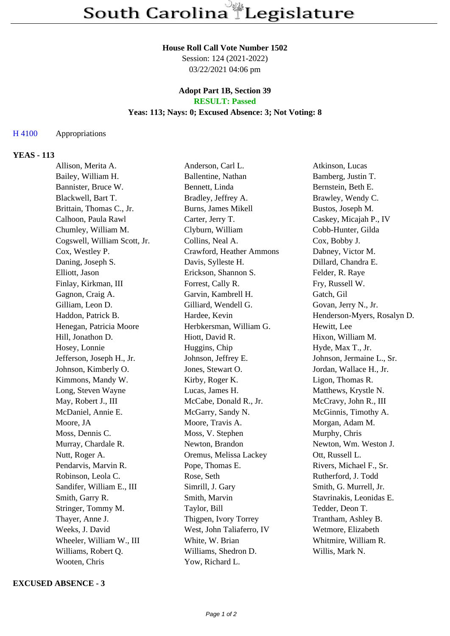#### **House Roll Call Vote Number 1502**

Session: 124 (2021-2022) 03/22/2021 04:06 pm

### **Adopt Part 1B, Section 39 RESULT: Passed**

# **Yeas: 113; Nays: 0; Excused Absence: 3; Not Voting: 8**

## H 4100 Appropriations

## **YEAS - 113**

| Allison, Merita A.           | Anderson, Carl L.          | Atkinson, Lucas             |
|------------------------------|----------------------------|-----------------------------|
| Bailey, William H.           | Ballentine, Nathan         | Bamberg, Justin T.          |
| Bannister, Bruce W.          | Bennett, Linda             | Bernstein, Beth E.          |
| Blackwell, Bart T.           | Bradley, Jeffrey A.        | Brawley, Wendy C.           |
| Brittain, Thomas C., Jr.     | <b>Burns, James Mikell</b> | Bustos, Joseph M.           |
| Calhoon, Paula Rawl          | Carter, Jerry T.           | Caskey, Micajah P., IV      |
| Chumley, William M.          | Clyburn, William           | Cobb-Hunter, Gilda          |
| Cogswell, William Scott, Jr. | Collins, Neal A.           | Cox, Bobby J.               |
| Cox, Westley P.              | Crawford, Heather Ammons   | Dabney, Victor M.           |
| Daning, Joseph S.            | Davis, Sylleste H.         | Dillard, Chandra E.         |
| Elliott, Jason               | Erickson, Shannon S.       | Felder, R. Raye             |
| Finlay, Kirkman, III         | Forrest, Cally R.          | Fry, Russell W.             |
| Gagnon, Craig A.             | Garvin, Kambrell H.        | Gatch, Gil                  |
| Gilliam, Leon D.             | Gilliard, Wendell G.       | Govan, Jerry N., Jr.        |
| Haddon, Patrick B.           | Hardee, Kevin              | Henderson-Myers, Rosalyn D. |
| Henegan, Patricia Moore      | Herbkersman, William G.    | Hewitt, Lee                 |
| Hill, Jonathon D.            | Hiott, David R.            | Hixon, William M.           |
| Hosey, Lonnie                | Huggins, Chip              | Hyde, Max T., Jr.           |
| Jefferson, Joseph H., Jr.    | Johnson, Jeffrey E.        | Johnson, Jermaine L., Sr.   |
| Johnson, Kimberly O.         | Jones, Stewart O.          | Jordan, Wallace H., Jr.     |
| Kimmons, Mandy W.            | Kirby, Roger K.            | Ligon, Thomas R.            |
| Long, Steven Wayne           | Lucas, James H.            | Matthews, Krystle N.        |
| May, Robert J., III          | McCabe, Donald R., Jr.     | McCravy, John R., III       |
| McDaniel, Annie E.           | McGarry, Sandy N.          | McGinnis, Timothy A.        |
| Moore, JA                    | Moore, Travis A.           | Morgan, Adam M.             |
| Moss, Dennis C.              | Moss, V. Stephen           | Murphy, Chris               |
| Murray, Chardale R.          | Newton, Brandon            | Newton, Wm. Weston J.       |
| Nutt, Roger A.               | Oremus, Melissa Lackey     | Ott, Russell L.             |
| Pendarvis, Marvin R.         | Pope, Thomas E.            | Rivers, Michael F., Sr.     |
| Robinson, Leola C.           | Rose, Seth                 | Rutherford, J. Todd         |
| Sandifer, William E., III    | Simrill, J. Gary           | Smith, G. Murrell, Jr.      |
| Smith, Garry R.              | Smith, Marvin              | Stavrinakis, Leonidas E.    |
| Stringer, Tommy M.           | Taylor, Bill               | Tedder, Deon T.             |
| Thayer, Anne J.              | Thigpen, Ivory Torrey      | Trantham, Ashley B.         |
| Weeks, J. David              | West, John Taliaferro, IV  | Wetmore, Elizabeth          |
| Wheeler, William W., III     | White, W. Brian            | Whitmire, William R.        |
| Williams, Robert Q.          | Williams, Shedron D.       | Willis, Mark N.             |
| Wooten, Chris                | Yow, Richard L.            |                             |

### **EXCUSED ABSENCE - 3**